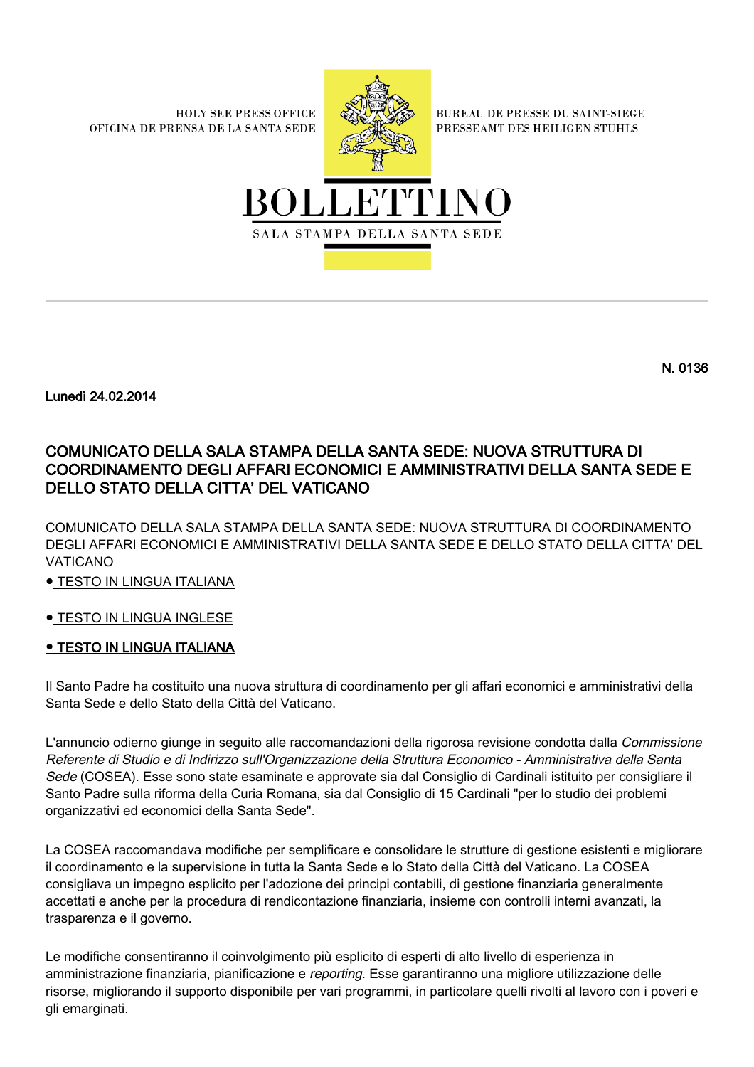**HOLY SEE PRESS OFFICE** OFICINA DE PRENSA DE LA SANTA SEDE



**BUREAU DE PRESSE DU SAINT-SIEGE** PRESSEAMT DES HEILIGEN STUHLS



N. 0136

Lunedì 24.02.2014

# COMUNICATO DELLA SALA STAMPA DELLA SANTA SEDE: NUOVA STRUTTURA DI COORDINAMENTO DEGLI AFFARI ECONOMICI E AMMINISTRATIVI DELLA SANTA SEDE E DELLO STATO DELLA CITTA' DEL VATICANO

COMUNICATO DELLA SALA STAMPA DELLA SANTA SEDE: NUOVA STRUTTURA DI COORDINAMENTO DEGLI AFFARI ECONOMICI E AMMINISTRATIVI DELLA SANTA SEDE E DELLO STATO DELLA CITTA' DEL VATICANO

● TESTO IN LINGUA ITALIANA

# **• [TESTO IN LINGUA INGLESE](#page-1-0)**

# **.** TESTO IN LINGUA ITALIANA

Il Santo Padre ha costituito una nuova struttura di coordinamento per gli affari economici e amministrativi della Santa Sede e dello Stato della Città del Vaticano.

L'annuncio odierno giunge in seguito alle raccomandazioni della rigorosa revisione condotta dalla Commissione Referente di Studio e di Indirizzo sull'Organizzazione della Struttura Economico - Amministrativa della Santa Sede (COSEA). Esse sono state esaminate e approvate sia dal Consiglio di Cardinali istituito per consigliare il Santo Padre sulla riforma della Curia Romana, sia dal Consiglio di 15 Cardinali "per lo studio dei problemi organizzativi ed economici della Santa Sede".

La COSEA raccomandava modifiche per semplificare e consolidare le strutture di gestione esistenti e migliorare il coordinamento e la supervisione in tutta la Santa Sede e lo Stato della Città del Vaticano. La COSEA consigliava un impegno esplicito per l'adozione dei principi contabili, di gestione finanziaria generalmente accettati e anche per la procedura di rendicontazione finanziaria, insieme con controlli interni avanzati, la trasparenza e il governo.

Le modifiche consentiranno il coinvolgimento più esplicito di esperti di alto livello di esperienza in amministrazione finanziaria, pianificazione e reporting. Esse garantiranno una migliore utilizzazione delle risorse, migliorando il supporto disponibile per vari programmi, in particolare quelli rivolti al lavoro con i poveri e gli emarginati.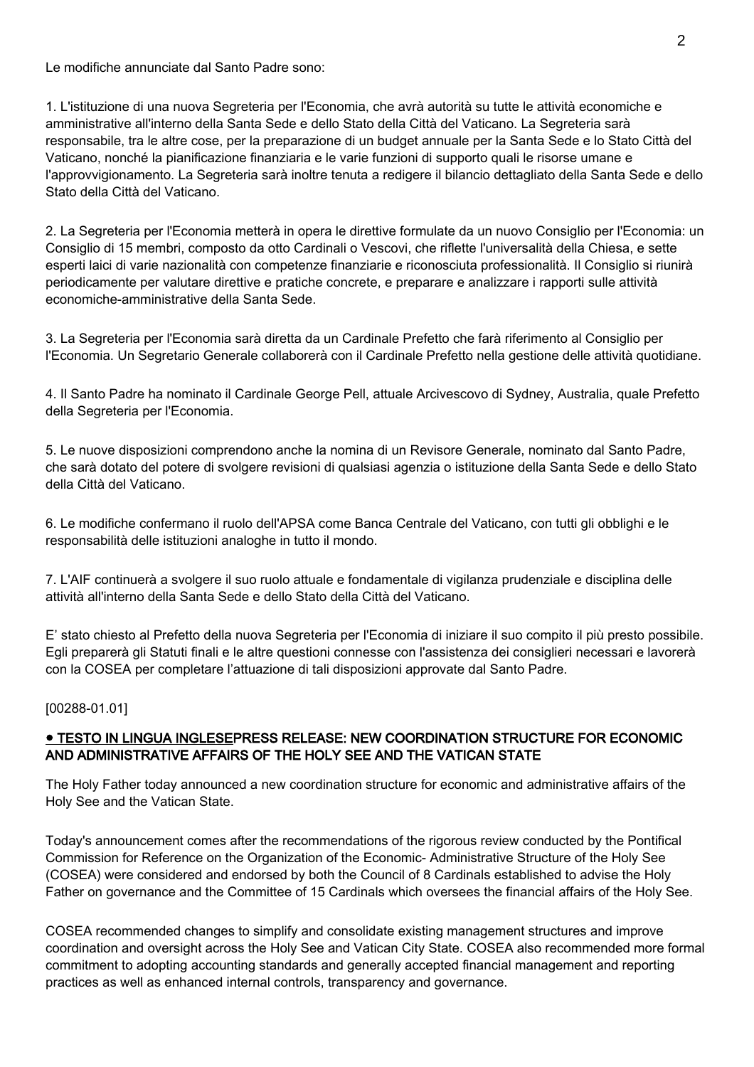Le modifiche annunciate dal Santo Padre sono:

1. L'istituzione di una nuova Segreteria per l'Economia, che avrà autorità su tutte le attività economiche e amministrative all'interno della Santa Sede e dello Stato della Città del Vaticano. La Segreteria sarà responsabile, tra le altre cose, per la preparazione di un budget annuale per la Santa Sede e lo Stato Città del Vaticano, nonché la pianificazione finanziaria e le varie funzioni di supporto quali le risorse umane e l'approvvigionamento. La Segreteria sarà inoltre tenuta a redigere il bilancio dettagliato della Santa Sede e dello Stato della Città del Vaticano.

2. La Segreteria per l'Economia metterà in opera le direttive formulate da un nuovo Consiglio per l'Economia: un Consiglio di 15 membri, composto da otto Cardinali o Vescovi, che riflette l'universalità della Chiesa, e sette esperti laici di varie nazionalità con competenze finanziarie e riconosciuta professionalità. Il Consiglio si riunirà periodicamente per valutare direttive e pratiche concrete, e preparare e analizzare i rapporti sulle attività economiche-amministrative della Santa Sede.

3. La Segreteria per l'Economia sarà diretta da un Cardinale Prefetto che farà riferimento al Consiglio per l'Economia. Un Segretario Generale collaborerà con il Cardinale Prefetto nella gestione delle attività quotidiane.

4. Il Santo Padre ha nominato il Cardinale George Pell, attuale Arcivescovo di Sydney, Australia, quale Prefetto della Segreteria per l'Economia.

5. Le nuove disposizioni comprendono anche la nomina di un Revisore Generale, nominato dal Santo Padre, che sarà dotato del potere di svolgere revisioni di qualsiasi agenzia o istituzione della Santa Sede e dello Stato della Città del Vaticano.

6. Le modifiche confermano il ruolo dell'APSA come Banca Centrale del Vaticano, con tutti gli obblighi e le responsabilità delle istituzioni analoghe in tutto il mondo.

7. L'AIF continuerà a svolgere il suo ruolo attuale e fondamentale di vigilanza prudenziale e disciplina delle attività all'interno della Santa Sede e dello Stato della Città del Vaticano.

E' stato chiesto al Prefetto della nuova Segreteria per l'Economia di iniziare il suo compito il più presto possibile. Egli preparerà gli Statuti finali e le altre questioni connesse con l'assistenza dei consiglieri necessari e lavorerà con la COSEA per completare l'attuazione di tali disposizioni approvate dal Santo Padre.

[00288-01.01]

### <span id="page-1-0"></span>● TESTO IN LINGUA INGLESEPRESS RELEASE: NEW COORDINATION STRUCTURE FOR ECONOMIC AND ADMINISTRATIVE AFFAIRS OF THE HOLY SEE AND THE VATICAN STATE

The Holy Father today announced a new coordination structure for economic and administrative affairs of the Holy See and the Vatican State.

Today's announcement comes after the recommendations of the rigorous review conducted by the Pontifical Commission for Reference on the Organization of the Economic- Administrative Structure of the Holy See (COSEA) were considered and endorsed by both the Council of 8 Cardinals established to advise the Holy Father on governance and the Committee of 15 Cardinals which oversees the financial affairs of the Holy See.

COSEA recommended changes to simplify and consolidate existing management structures and improve coordination and oversight across the Holy See and Vatican City State. COSEA also recommended more formal commitment to adopting accounting standards and generally accepted financial management and reporting practices as well as enhanced internal controls, transparency and governance.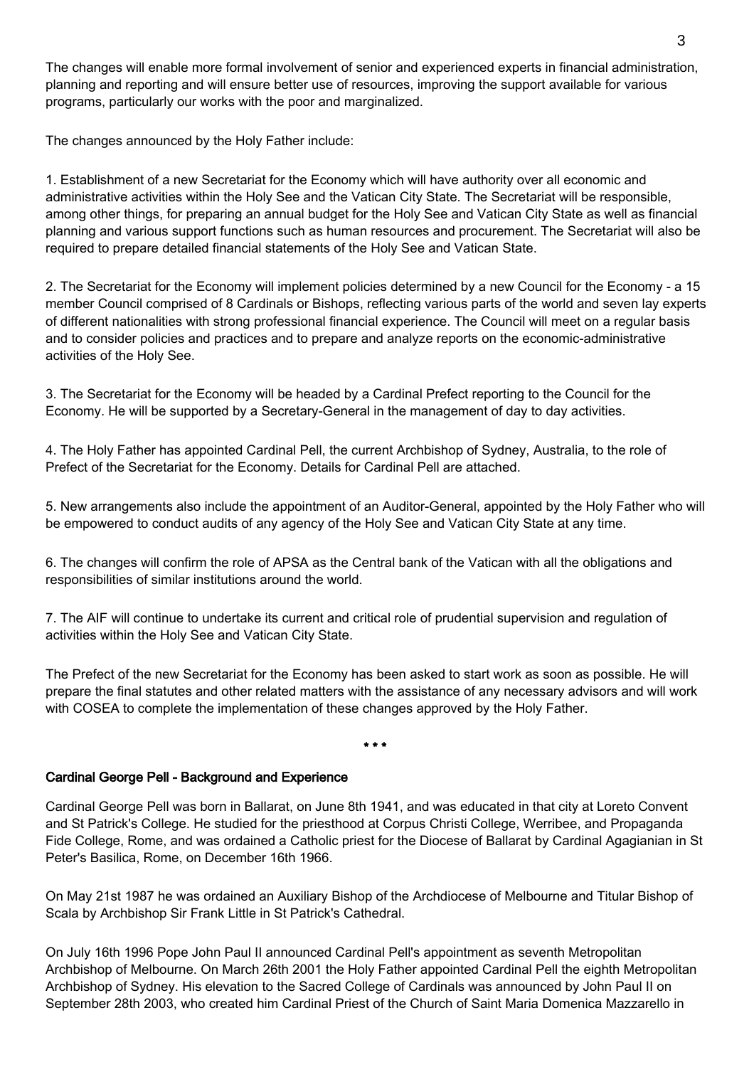The changes will enable more formal involvement of senior and experienced experts in financial administration, planning and reporting and will ensure better use of resources, improving the support available for various programs, particularly our works with the poor and marginalized.

The changes announced by the Holy Father include:

1. Establishment of a new Secretariat for the Economy which will have authority over all economic and administrative activities within the Holy See and the Vatican City State. The Secretariat will be responsible, among other things, for preparing an annual budget for the Holy See and Vatican City State as well as financial planning and various support functions such as human resources and procurement. The Secretariat will also be required to prepare detailed financial statements of the Holy See and Vatican State.

2. The Secretariat for the Economy will implement policies determined by a new Council for the Economy - a 15 member Council comprised of 8 Cardinals or Bishops, reflecting various parts of the world and seven lay experts of different nationalities with strong professional financial experience. The Council will meet on a regular basis and to consider policies and practices and to prepare and analyze reports on the economic-administrative activities of the Holy See.

3. The Secretariat for the Economy will be headed by a Cardinal Prefect reporting to the Council for the Economy. He will be supported by a Secretary-General in the management of day to day activities.

4. The Holy Father has appointed Cardinal Pell, the current Archbishop of Sydney, Australia, to the role of Prefect of the Secretariat for the Economy. Details for Cardinal Pell are attached.

5. New arrangements also include the appointment of an Auditor-General, appointed by the Holy Father who will be empowered to conduct audits of any agency of the Holy See and Vatican City State at any time.

6. The changes will confirm the role of APSA as the Central bank of the Vatican with all the obligations and responsibilities of similar institutions around the world.

7. The AIF will continue to undertake its current and critical role of prudential supervision and regulation of activities within the Holy See and Vatican City State.

The Prefect of the new Secretariat for the Economy has been asked to start work as soon as possible. He will prepare the final statutes and other related matters with the assistance of any necessary advisors and will work with COSEA to complete the implementation of these changes approved by the Holy Father.

# \* \* \*

# Cardinal George Pell - Background and Experience

Cardinal George Pell was born in Ballarat, on June 8th 1941, and was educated in that city at Loreto Convent and St Patrick's College. He studied for the priesthood at Corpus Christi College, Werribee, and Propaganda Fide College, Rome, and was ordained a Catholic priest for the Diocese of Ballarat by Cardinal Agagianian in St Peter's Basilica, Rome, on December 16th 1966.

On May 21st 1987 he was ordained an Auxiliary Bishop of the Archdiocese of Melbourne and Titular Bishop of Scala by Archbishop Sir Frank Little in St Patrick's Cathedral.

On July 16th 1996 Pope John Paul II announced Cardinal Pell's appointment as seventh Metropolitan Archbishop of Melbourne. On March 26th 2001 the Holy Father appointed Cardinal Pell the eighth Metropolitan Archbishop of Sydney. His elevation to the Sacred College of Cardinals was announced by John Paul II on September 28th 2003, who created him Cardinal Priest of the Church of Saint Maria Domenica Mazzarello in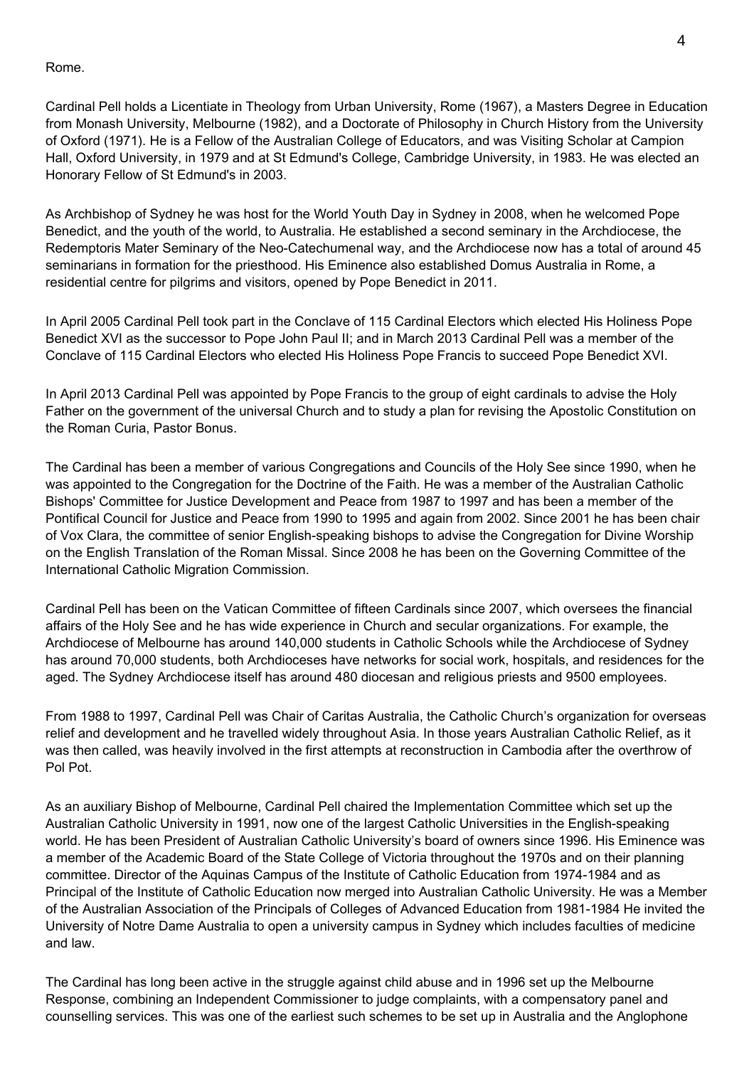Rome.

Cardinal Pell holds a Licentiate in Theology from Urban University, Rome (1967), a Masters Degree in Education from Monash University, Melbourne (1982), and a Doctorate of Philosophy in Church History from the University of Oxford (1971). He is a Fellow of the Australian College of Educators, and was Visiting Scholar at Campion Hall, Oxford University, in 1979 and at St Edmund's College, Cambridge University, in 1983. He was elected an Honorary Fellow of St Edmund's in 2003.

As Archbishop of Sydney he was host for the World Youth Day in Sydney in 2008, when he welcomed Pope Benedict, and the youth of the world, to Australia. He established a second seminary in the Archdiocese, the Redemptoris Mater Seminary of the Neo-Catechumenal way, and the Archdiocese now has a total of around 45 seminarians in formation for the priesthood. His Eminence also established Domus Australia in Rome, a residential centre for pilgrims and visitors, opened by Pope Benedict in 2011.

In April 2005 Cardinal Pell took part in the Conclave of 115 Cardinal Electors which elected His Holiness Pope Benedict XVI as the successor to Pope John Paul II; and in March 2013 Cardinal Pell was a member of the Conclave of 115 Cardinal Electors who elected His Holiness Pope Francis to succeed Pope Benedict XVI.

In April 2013 Cardinal Pell was appointed by Pope Francis to the group of eight cardinals to advise the Holy Father on the government of the universal Church and to study a plan for revising the Apostolic Constitution on the Roman Curia, Pastor Bonus.

The Cardinal has been a member of various Congregations and Councils of the Holy See since 1990, when he was appointed to the Congregation for the Doctrine of the Faith. He was a member of the Australian Catholic Bishops' Committee for Justice Development and Peace from 1987 to 1997 and has been a member of the Pontifical Council for Justice and Peace from 1990 to 1995 and again from 2002. Since 2001 he has been chair of Vox Clara, the committee of senior English-speaking bishops to advise the Congregation for Divine Worship on the English Translation of the Roman Missal. Since 2008 he has been on the Governing Committee of the International Catholic Migration Commission.

Cardinal Pell has been on the Vatican Committee of fifteen Cardinals since 2007, which oversees the financial affairs of the Holy See and he has wide experience in Church and secular organizations. For example, the Archdiocese of Melbourne has around 140,000 students in Catholic Schools while the Archdiocese of Sydney has around 70,000 students, both Archdioceses have networks for social work, hospitals, and residences for the aged. The Sydney Archdiocese itself has around 480 diocesan and religious priests and 9500 employees.

From 1988 to 1997, Cardinal Pell was Chair of Caritas Australia, the Catholic Church's organization for overseas relief and development and he travelled widely throughout Asia. In those years Australian Catholic Relief, as it was then called, was heavily involved in the first attempts at reconstruction in Cambodia after the overthrow of Pol Pot.

As an auxiliary Bishop of Melbourne, Cardinal Pell chaired the Implementation Committee which set up the Australian Catholic University in 1991, now one of the largest Catholic Universities in the English-speaking world. He has been President of Australian Catholic University's board of owners since 1996. His Eminence was a member of the Academic Board of the State College of Victoria throughout the 1970s and on their planning committee. Director of the Aquinas Campus of the Institute of Catholic Education from 1974-1984 and as Principal of the Institute of Catholic Education now merged into Australian Catholic University. He was a Member of the Australian Association of the Principals of Colleges of Advanced Education from 1981-1984 He invited the University of Notre Dame Australia to open a university campus in Sydney which includes faculties of medicine and law.

The Cardinal has long been active in the struggle against child abuse and in 1996 set up the Melbourne Response, combining an Independent Commissioner to judge complaints, with a compensatory panel and counselling services. This was one of the earliest such schemes to be set up in Australia and the Anglophone